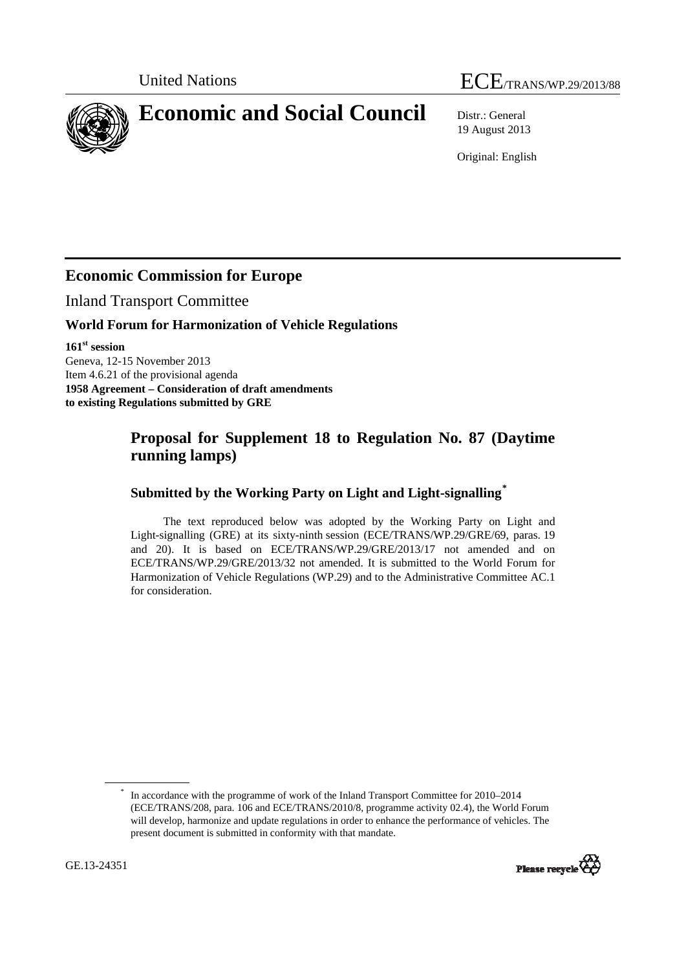# United Nations ECE/TRANS/WP.29/2013/88

<span id="page-0-0"></span>**Economic and Social Council** Distr.: General

19 August 2013

Original: English

## **Economic Commission for Europe**

Inland Transport Committee

## **World Forum for Harmonization of Vehicle Regulations**

**161st session**  Geneva, 12-15 November 2013 Item 4.6.21 of the provisional agenda **1958 Agreement – Consideration of draft amendments to existing Regulations submitted by GRE** 

## **Proposal for Supplement 18 to Regulation No. 87 (Daytime running lamps)**

## **Submitted by the Working Party on Light and Light-signalling[\\*](#page-0-0)**

The text reproduced below was adopted by the Working Party on Light and Light-signalling (GRE) at its sixty-ninth session (ECE/TRANS/WP.29/GRE/69, paras. 19 and 20). It is based on ECE/TRANS/WP.29/GRE/2013/17 not amended and on ECE/TRANS/WP.29/GRE/2013/32 not amended. It is submitted to the World Forum for Harmonization of Vehicle Regulations (WP.29) and to the Administrative Committee AC.1 for consideration.

<sup>\*</sup> In accordance with the programme of work of the Inland Transport Committee for 2010–2014 (ECE/TRANS/208, para. 106 and ECE/TRANS/2010/8, programme activity 02.4), the World Forum will develop, harmonize and update regulations in order to enhance the performance of vehicles. The present document is submitted in conformity with that mandate.

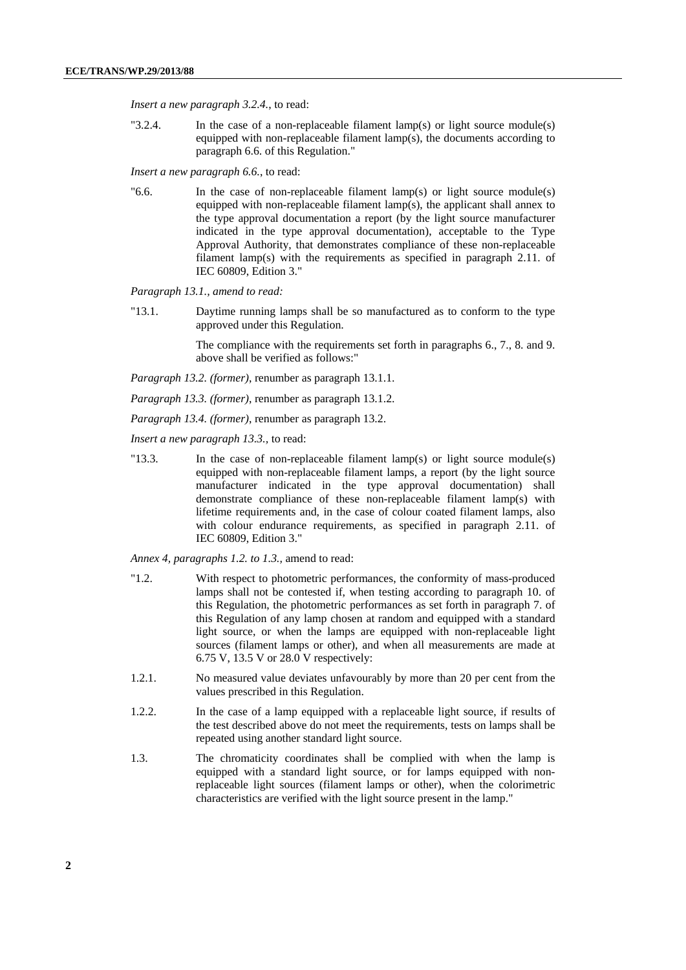*Insert a new paragraph 3.2.4.*, to read:

"3.2.4. In the case of a non-replaceable filament lamp(s) or light source module(s) equipped with non-replaceable filament lamp(s), the documents according to paragraph 6.6. of this Regulation."

*Insert a new paragraph 6.6.*, to read:

" $6.6$ . In the case of non-replaceable filament lamp(s) or light source module(s) equipped with non-replaceable filament lamp(s), the applicant shall annex to the type approval documentation a report (by the light source manufacturer indicated in the type approval documentation), acceptable to the Type Approval Authority, that demonstrates compliance of these non-replaceable filament lamp(s) with the requirements as specified in paragraph 2.11. of IEC 60809, Edition 3."

*Paragraph 13.1., amend to read:*

"13.1. Daytime running lamps shall be so manufactured as to conform to the type approved under this Regulation.

> The compliance with the requirements set forth in paragraphs 6., 7., 8. and 9. above shall be verified as follows:"

*Paragraph 13.2. (former)*, renumber as paragraph 13.1.1.

*Paragraph 13.3. (former)*, renumber as paragraph 13.1.2.

*Paragraph 13.4. (former)*, renumber as paragraph 13.2.

*Insert a new paragraph 13.3.,* to read:

"13.3. In the case of non-replaceable filament lamp(s) or light source module(s) equipped with non-replaceable filament lamps, a report (by the light source manufacturer indicated in the type approval documentation) shall demonstrate compliance of these non-replaceable filament lamp(s) with lifetime requirements and, in the case of colour coated filament lamps, also with colour endurance requirements, as specified in paragraph  $2.11$ , of IEC 60809, Edition 3."

*Annex 4, paragraphs 1.2. to 1.3.,* amend to read:

- "1.2. With respect to photometric performances, the conformity of mass-produced lamps shall not be contested if, when testing according to paragraph 10. of this Regulation, the photometric performances as set forth in paragraph 7. of this Regulation of any lamp chosen at random and equipped with a standard light source, or when the lamps are equipped with non-replaceable light sources (filament lamps or other), and when all measurements are made at 6.75 V, 13.5 V or 28.0 V respectively:
- 1.2.1. No measured value deviates unfavourably by more than 20 per cent from the values prescribed in this Regulation.
- 1.2.2. In the case of a lamp equipped with a replaceable light source, if results of the test described above do not meet the requirements, tests on lamps shall be repeated using another standard light source.
- 1.3. The chromaticity coordinates shall be complied with when the lamp is equipped with a standard light source, or for lamps equipped with nonreplaceable light sources (filament lamps or other), when the colorimetric characteristics are verified with the light source present in the lamp."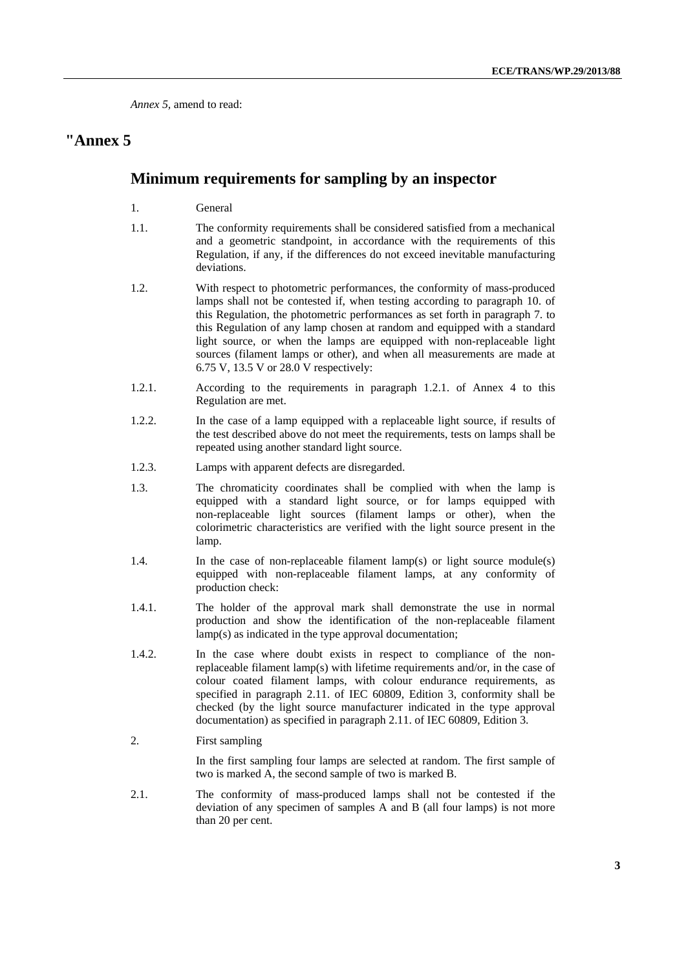*Annex 5,* amend to read:

## **"Annex 5**

#### **Minimum requirements for sampling by an inspector**

- 1. General
- 1.1. The conformity requirements shall be considered satisfied from a mechanical and a geometric standpoint, in accordance with the requirements of this Regulation, if any, if the differences do not exceed inevitable manufacturing deviations.
- 1.2. With respect to photometric performances, the conformity of mass-produced lamps shall not be contested if, when testing according to paragraph 10. of this Regulation, the photometric performances as set forth in paragraph 7. to this Regulation of any lamp chosen at random and equipped with a standard light source, or when the lamps are equipped with non-replaceable light sources (filament lamps or other), and when all measurements are made at 6.75 V, 13.5 V or 28.0 V respectively:
- 1.2.1. According to the requirements in paragraph 1.2.1. of Annex 4 to this Regulation are met.
- 1.2.2. In the case of a lamp equipped with a replaceable light source, if results of the test described above do not meet the requirements, tests on lamps shall be repeated using another standard light source.
- 1.2.3. Lamps with apparent defects are disregarded.
- 1.3. The chromaticity coordinates shall be complied with when the lamp is equipped with a standard light source, or for lamps equipped with non-replaceable light sources (filament lamps or other), when the colorimetric characteristics are verified with the light source present in the lamp.
- 1.4. In the case of non-replaceable filament lamp(s) or light source module(s) equipped with non-replaceable filament lamps, at any conformity of production check:
- 1.4.1. The holder of the approval mark shall demonstrate the use in normal production and show the identification of the non-replaceable filament lamp(s) as indicated in the type approval documentation;
- 1.4.2. In the case where doubt exists in respect to compliance of the nonreplaceable filament lamp(s) with lifetime requirements and/or, in the case of colour coated filament lamps, with colour endurance requirements, as specified in paragraph 2.11. of IEC 60809, Edition 3, conformity shall be checked (by the light source manufacturer indicated in the type approval documentation) as specified in paragraph 2.11. of IEC 60809, Edition 3.
- 2. First sampling

In the first sampling four lamps are selected at random. The first sample of two is marked A, the second sample of two is marked B.

2.1. The conformity of mass-produced lamps shall not be contested if the deviation of any specimen of samples A and B (all four lamps) is not more than 20 per cent.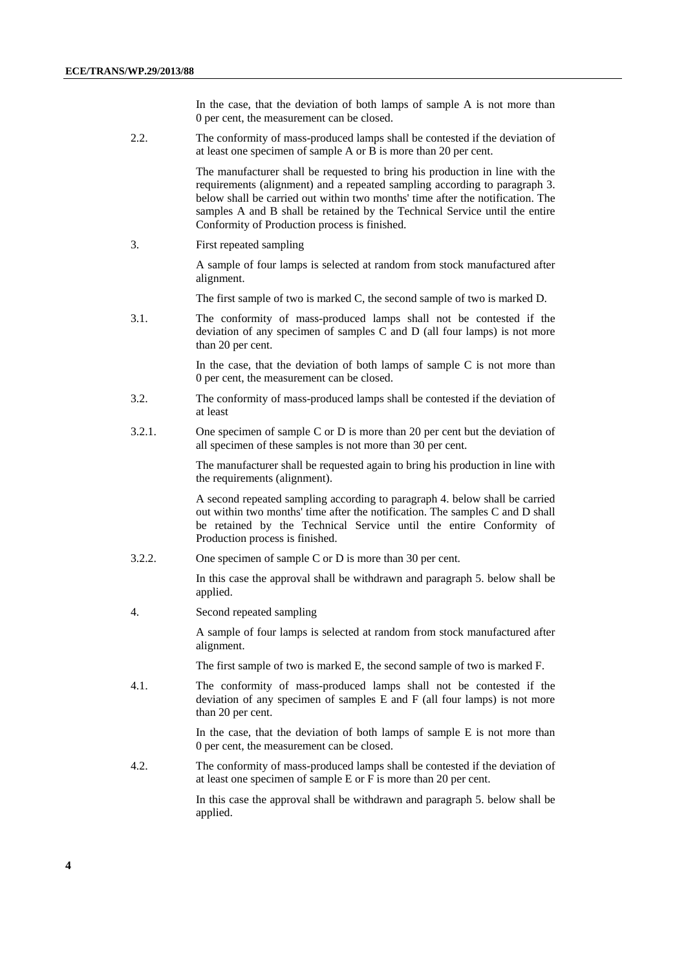In the case, that the deviation of both lamps of sample A is not more than 0 per cent, the measurement can be closed.

2.2. The conformity of mass-produced lamps shall be contested if the deviation of at least one specimen of sample A or B is more than 20 per cent.

> The manufacturer shall be requested to bring his production in line with the requirements (alignment) and a repeated sampling according to paragraph 3. below shall be carried out within two months' time after the notification. The samples A and B shall be retained by the Technical Service until the entire Conformity of Production process is finished.

3. First repeated sampling

A sample of four lamps is selected at random from stock manufactured after alignment.

The first sample of two is marked C, the second sample of two is marked D.

3.1. The conformity of mass-produced lamps shall not be contested if the deviation of any specimen of samples C and D (all four lamps) is not more than 20 per cent.

> In the case, that the deviation of both lamps of sample  $C$  is not more than 0 per cent, the measurement can be closed.

- 3.2. The conformity of mass-produced lamps shall be contested if the deviation of at least
- 3.2.1. One specimen of sample C or D is more than 20 per cent but the deviation of all specimen of these samples is not more than 30 per cent.

The manufacturer shall be requested again to bring his production in line with the requirements (alignment).

A second repeated sampling according to paragraph 4. below shall be carried out within two months' time after the notification. The samples C and D shall be retained by the Technical Service until the entire Conformity of Production process is finished.

3.2.2. One specimen of sample C or D is more than 30 per cent.

In this case the approval shall be withdrawn and paragraph 5. below shall be applied.

4. Second repeated sampling

A sample of four lamps is selected at random from stock manufactured after alignment.

The first sample of two is marked E, the second sample of two is marked F.

4.1. The conformity of mass-produced lamps shall not be contested if the deviation of any specimen of samples E and F (all four lamps) is not more than 20 per cent.

> In the case, that the deviation of both lamps of sample E is not more than 0 per cent, the measurement can be closed.

4.2. The conformity of mass-produced lamps shall be contested if the deviation of at least one specimen of sample E or F is more than 20 per cent.

> In this case the approval shall be withdrawn and paragraph 5. below shall be applied.